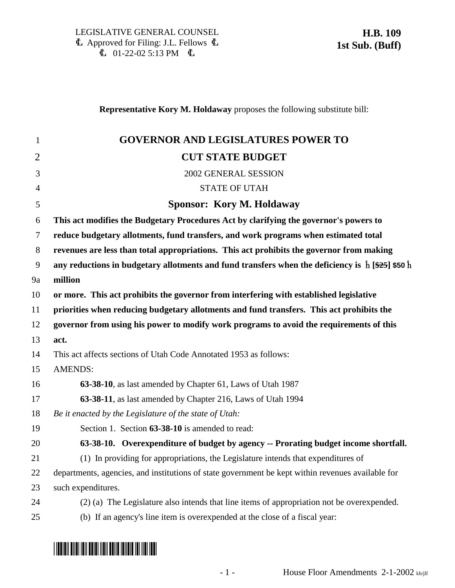### **Representative Kory M. Holdaway** proposes the following substitute bill:

| $\mathbf{1}$   | <b>GOVERNOR AND LEGISLATURES POWER TO</b>                                                                        |
|----------------|------------------------------------------------------------------------------------------------------------------|
| $\overline{2}$ | <b>CUT STATE BUDGET</b>                                                                                          |
| 3              | 2002 GENERAL SESSION                                                                                             |
| $\overline{4}$ | <b>STATE OF UTAH</b>                                                                                             |
| 5              | <b>Sponsor: Kory M. Holdaway</b>                                                                                 |
| 6              | This act modifies the Budgetary Procedures Act by clarifying the governor's powers to                            |
| $\tau$         | reduce budgetary allotments, fund transfers, and work programs when estimated total                              |
| 8              | revenues are less than total appropriations. This act prohibits the governor from making                         |
| 9              | any reductions in budgetary allotments and fund transfers when the deficiency is $\hat{h}$ [\$25] \$50 $\hat{h}$ |
| 9a             | million                                                                                                          |
| 10             | or more. This act prohibits the governor from interfering with established legislative                           |
| 11             | priorities when reducing budgetary allotments and fund transfers. This act prohibits the                         |
| 12             | governor from using his power to modify work programs to avoid the requirements of this                          |
| 13             | act.                                                                                                             |
| 14             | This act affects sections of Utah Code Annotated 1953 as follows:                                                |
| 15             | <b>AMENDS:</b>                                                                                                   |
| 16             | 63-38-10, as last amended by Chapter 61, Laws of Utah 1987                                                       |
| 17             | 63-38-11, as last amended by Chapter 216, Laws of Utah 1994                                                      |
| 18             | Be it enacted by the Legislature of the state of Utah:                                                           |
| 19             | Section 1. Section 63-38-10 is amended to read:                                                                  |
| 20             | 63-38-10. Overexpenditure of budget by agency -- Prorating budget income shortfall.                              |
| 21             | (1) In providing for appropriations, the Legislature intends that expenditures of                                |
| 22             | departments, agencies, and institutions of state government be kept within revenues available for                |
| 23             | such expenditures.                                                                                               |
| 24             | (2) (a) The Legislature also intends that line items of appropriation not be overexpended.                       |
| 25             | (b) If an agency's line item is overexpended at the close of a fiscal year:                                      |

# \*HB0109S1\*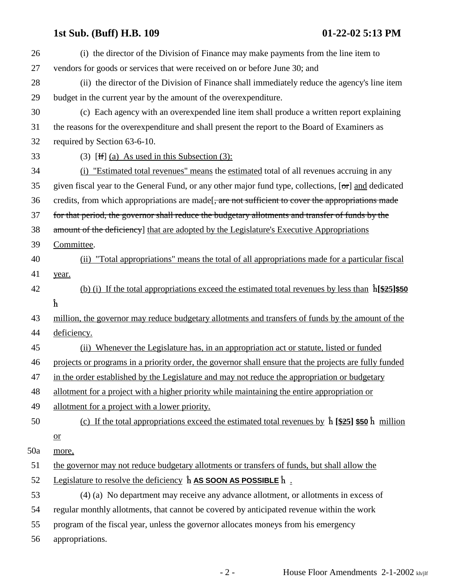## **1st Sub. (Buff) H.B. 109 01-22-02 5:13 PM**

| 26  | (i) the director of the Division of Finance may make payments from the line item to                                         |
|-----|-----------------------------------------------------------------------------------------------------------------------------|
| 27  | vendors for goods or services that were received on or before June 30; and                                                  |
| 28  | (ii) the director of the Division of Finance shall immediately reduce the agency's line item                                |
| 29  | budget in the current year by the amount of the overexpenditure.                                                            |
| 30  | (c) Each agency with an overexpended line item shall produce a written report explaining                                    |
| 31  | the reasons for the overexpenditure and shall present the report to the Board of Examiners as                               |
| 32  | required by Section 63-6-10.                                                                                                |
| 33  | (3) [H $\left[$ (a) As used in this Subsection (3):                                                                         |
| 34  | (i) "Estimated total revenues" means the estimated total of all revenues accruing in any                                    |
| 35  | given fiscal year to the General Fund, or any other major fund type, collections, $[\sigma r]$ and dedicated                |
| 36  | credits, from which appropriations are made [, are not sufficient to cover the appropriations made                          |
| 37  | for that period, the governor shall reduce the budgetary allotments and transfer of funds by the                            |
| 38  | amount of the deficiency] that are adopted by the Legislature's Executive Appropriations                                    |
| 39  | Committee.                                                                                                                  |
| 40  | (ii) "Total appropriations" means the total of all appropriations made for a particular fiscal                              |
| 41  | year.                                                                                                                       |
| 42  | (b) (i) If the total appropriations exceed the estimated total revenues by less than $\hat{h}$ $\frac{25}{350}$             |
|     | ĥ                                                                                                                           |
| 43  | million, the governor may reduce budgetary allotments and transfers of funds by the amount of the                           |
| 44  | deficiency.                                                                                                                 |
| 45  | Whenever the Legislature has, in an appropriation act or statute, listed or funded<br>(ii)                                  |
| 46  | projects or programs in a priority order, the governor shall ensure that the projects are fully funded                      |
| 47  | in the order established by the Legislature and may not reduce the appropriation or budgetary                               |
| 48  | allotment for a project with a higher priority while maintaining the entire appropriation or                                |
| 49  | allotment for a project with a lower priority.                                                                              |
| 50  | (c) If the total appropriations exceed the estimated total revenues by $\hat{h}$ [ $\frac{25}{25}$ ] \$50 $\hat{h}$ million |
|     | $\mathbf{a}$                                                                                                                |
| 50a | more,                                                                                                                       |
| 51  | the governor may not reduce budgetary allotments or transfers of funds, but shall allow the                                 |
|     | Legislature to resolve the deficiency $\hat{h}$ AS SOON AS POSSIBLE $\hat{h}$ .                                             |
| 52  | (4) (a) No department may receive any advance allotment, or allotments in excess of                                         |
| 53  |                                                                                                                             |
| 54  | regular monthly allotments, that cannot be covered by anticipated revenue within the work                                   |
| 55  | program of the fiscal year, unless the governor allocates moneys from his emergency                                         |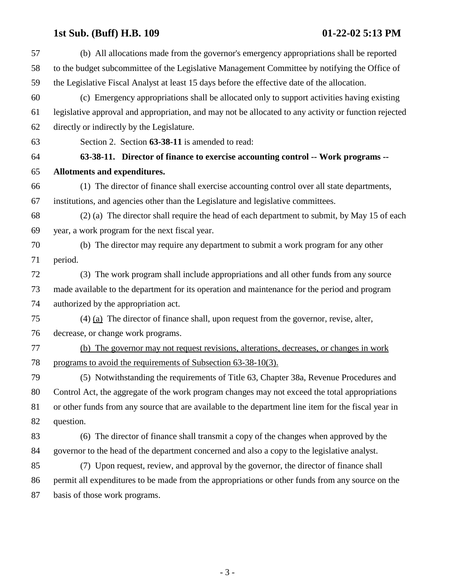# **1st Sub. (Buff) H.B. 109 01-22-02 5:13 PM**

| (b) All allocations made from the governor's emergency appropriations shall be reported               |
|-------------------------------------------------------------------------------------------------------|
| to the budget subcommittee of the Legislative Management Committee by notifying the Office of         |
| the Legislative Fiscal Analyst at least 15 days before the effective date of the allocation.          |
| (c) Emergency appropriations shall be allocated only to support activities having existing            |
| legislative approval and appropriation, and may not be allocated to any activity or function rejected |
| directly or indirectly by the Legislature.                                                            |
| Section 2. Section 63-38-11 is amended to read:                                                       |
| 63-38-11. Director of finance to exercise accounting control -- Work programs --                      |
| Allotments and expenditures.                                                                          |
| (1) The director of finance shall exercise accounting control over all state departments,             |
| institutions, and agencies other than the Legislature and legislative committees.                     |
| (2) (a) The director shall require the head of each department to submit, by May 15 of each           |
| year, a work program for the next fiscal year.                                                        |
| (b) The director may require any department to submit a work program for any other                    |
| period.                                                                                               |
| (3) The work program shall include appropriations and all other funds from any source                 |
| made available to the department for its operation and maintenance for the period and program         |
| authorized by the appropriation act.                                                                  |
| $(4)$ (a) The director of finance shall, upon request from the governor, revise, alter,               |
| decrease, or change work programs.                                                                    |
| (b) The governor may not request revisions, alterations, decreases, or changes in work                |
| programs to avoid the requirements of Subsection 63-38-10(3).                                         |
| (5) Notwithstanding the requirements of Title 63, Chapter 38a, Revenue Procedures and                 |
| Control Act, the aggregate of the work program changes may not exceed the total appropriations        |
| or other funds from any source that are available to the department line item for the fiscal year in  |
| question.                                                                                             |
| (6) The director of finance shall transmit a copy of the changes when approved by the                 |
| governor to the head of the department concerned and also a copy to the legislative analyst.          |
| (7) Upon request, review, and approval by the governor, the director of finance shall                 |
| permit all expenditures to be made from the appropriations or other funds from any source on the      |
| basis of those work programs.                                                                         |
|                                                                                                       |